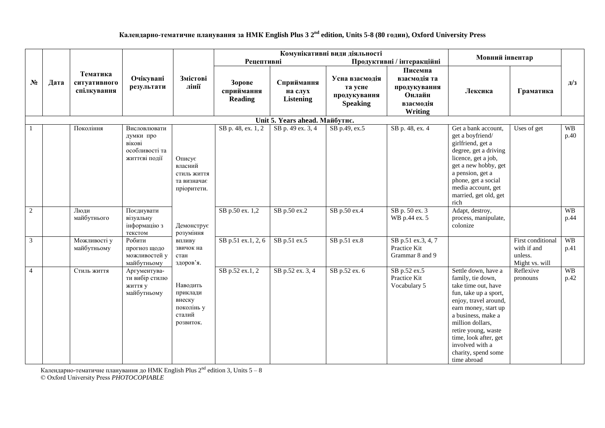## **Календарно-тематичне планування за НМК English Plus 3 2 nd edition, Units 5-8 (80 годин), Oxford University Press**

|                |      |                                         |                                                                        |                                                                     |                                 | Комунікативні види діяльності             |                                                              |                                                                           |                                                                                                                                                                                                                                                                                              |                                                               |                   |
|----------------|------|-----------------------------------------|------------------------------------------------------------------------|---------------------------------------------------------------------|---------------------------------|-------------------------------------------|--------------------------------------------------------------|---------------------------------------------------------------------------|----------------------------------------------------------------------------------------------------------------------------------------------------------------------------------------------------------------------------------------------------------------------------------------------|---------------------------------------------------------------|-------------------|
|                |      |                                         |                                                                        |                                                                     | Рецептивні                      |                                           |                                                              | Продуктивні / інтеракційні                                                | Мовний інвентар                                                                                                                                                                                                                                                                              |                                                               |                   |
| $N_2$          | Дата | Тематика<br>ситуативного<br>спілкування | Очікувані<br>результати                                                | Змістові<br>лінії                                                   | Зорове<br>сприймання<br>Reading | Сприймання<br>на слух<br><b>Listening</b> | Усна взаємодія<br>та усне<br>продукування<br><b>Speaking</b> | Писемна<br>взаємодія та<br>продукування<br>Онлайн<br>взаємодія<br>Writing | Лексика                                                                                                                                                                                                                                                                                      | Граматика                                                     | д/з               |
|                |      |                                         |                                                                        |                                                                     |                                 | Unit 5. Years ahead. Майбутнє.            |                                                              |                                                                           |                                                                                                                                                                                                                                                                                              |                                                               |                   |
| $\overline{1}$ |      | Покоління                               | Висловлювати<br>думки про<br>вікові<br>особливості та<br>життєві події | Описує<br>власний<br>стиль життя<br>та визначає<br>пріоритети.      | SB p. 48, ex. 1, 2              | SB p. 49 ex. 3, 4                         | SB p.49, ex.5                                                | SB p. 48, ex. 4                                                           | Get a bank account,<br>get a boyfriend/<br>girlfriend, get a<br>degree, get a driving<br>licence, get a job,<br>get a new hobby, get<br>a pension, get a<br>phone, get a social<br>media account, get<br>married, get old, get<br>rich                                                       | Uses of get                                                   | <b>WB</b><br>p.40 |
| $\overline{2}$ |      | Люди<br>майбутнього                     | Поєднувати<br>візуальну<br>інформацію з<br>текстом                     | Демонструє<br>розуміння                                             | SB p.50 ex. 1,2                 | SB p.50 ex.2                              | SB p.50 ex.4                                                 | SB p. 50 ex. 3<br>WB p.44 ex. 5                                           | Adapt, destroy,<br>process, manipulate,<br>colonize                                                                                                                                                                                                                                          |                                                               | <b>WB</b><br>p.44 |
| $\overline{3}$ |      | Можливості у<br>майбутньому             | Робити<br>прогноз щодо<br>можливостей у<br>майбутньому                 | впливу<br>звичок на<br>стан<br>здоров'я.                            | SB p.51 ex.1, 2, 6              | SB p.51 ex.5                              | SB p.51 ex.8                                                 | SB p.51 ex.3, 4, 7<br>Practice Kit<br>Grammar 8 and 9                     |                                                                                                                                                                                                                                                                                              | First conditional<br>with if and<br>unless.<br>Might vs. will | <b>WB</b><br>p.41 |
| $\overline{4}$ |      | Стиль життя                             | Аргументува-<br>ти вибір стилю<br>життя у<br>майбутньому               | Наводить<br>приклади<br>внеску<br>поколінь у<br>сталий<br>розвиток. | SB p.52 ex.1, 2                 | SB p.52 ex. 3, 4                          | SB p.52 ex. 6                                                | SB p.52 ex.5<br>Practice Kit<br>Vocabulary 5                              | Settle down, have a<br>family, tie down,<br>take time out, have<br>fun, take up a sport,<br>enjoy, travel around,<br>earn money, start up<br>a business, make a<br>million dollars,<br>retire young, waste<br>time, look after, get<br>involved with a<br>charity, spend some<br>time abroad | Reflexive<br>pronouns                                         | <b>WB</b><br>p.42 |

Календарно-тематичне планування до HMK English Plus 2 $^{\rm nd}$  edition 3, Units 5 – 8 © Oxford University Press *PHOTOCOPIABLE*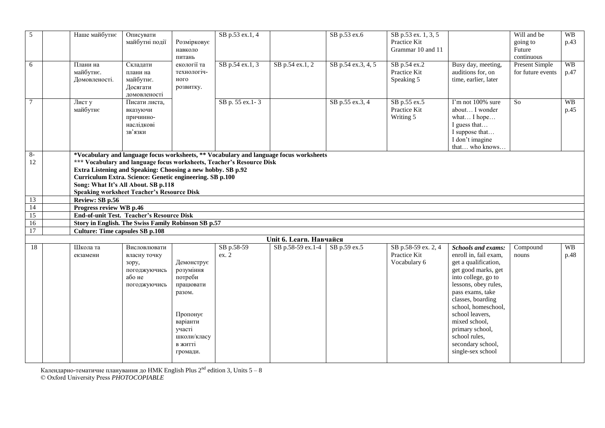| 5          | Наше майбутнє                          | Описувати<br>майбутні події                                                                                                                                                                                                                                                                                                                                                            | Розмірковує<br>навколо<br>питань                                                                           | SB p.53 ex.1, 4 |                         | SB p.53 ex.6       | SB p.53 ex. 1, 3, 5<br>Practice Kit<br>Grammar 10 and 11 |                                                                                                                                                                                                                                                             | Will and be<br>going to<br>Future<br>continuous | WB<br>p.43        |  |  |  |
|------------|----------------------------------------|----------------------------------------------------------------------------------------------------------------------------------------------------------------------------------------------------------------------------------------------------------------------------------------------------------------------------------------------------------------------------------------|------------------------------------------------------------------------------------------------------------|-----------------|-------------------------|--------------------|----------------------------------------------------------|-------------------------------------------------------------------------------------------------------------------------------------------------------------------------------------------------------------------------------------------------------------|-------------------------------------------------|-------------------|--|--|--|
| 6          | Плани на<br>майбутнє.<br>Домовленості. | Складати<br>плани на<br>майбутнє.<br>Досягати<br>домовленості                                                                                                                                                                                                                                                                                                                          | екології та<br>технологіч-<br>ного<br>розвитку.                                                            | SB p.54 ex.1, 3 | SB p.54 ex.1, 2         | SB p.54 ex.3, 4, 5 | SB p.54 ex.2<br>Practice Kit<br>Speaking 5               | Busy day, meeting,<br>auditions for, on<br>time, earlier, later                                                                                                                                                                                             | Present Simple<br>for future events             | <b>WB</b><br>p.47 |  |  |  |
| $\tau$     | Лист у<br>майбутнє                     | Писати листа,<br>вказуючи<br>причинно-<br>наслідкові<br>зв'язки                                                                                                                                                                                                                                                                                                                        |                                                                                                            | SB p. 55 ex.1-3 |                         | SB p.55 ex.3, 4    | SB p.55 ex.5<br>Practice Kit<br>Writing 5                | I'm not 100% sure<br>about I wonder<br>what I hope<br>I guess that<br>I suppose that<br>I don't imagine<br>that who knows                                                                                                                                   | So                                              | WB<br>p.45        |  |  |  |
| $8-$<br>12 |                                        | *Vocabulary and language focus worksheets, ** Vocabulary and language focus worksheets<br>*** Vocabulary and language focus worksheets, Teacher's Resource Disk<br>Extra Listening and Speaking: Choosing a new hobby. SB p.92<br>Curriculum Extra. Science: Genetic engineering. SB p.100<br>Song: What It's All About. SB p.118<br><b>Speaking worksheet Teacher's Resource Disk</b> |                                                                                                            |                 |                         |                    |                                                          |                                                                                                                                                                                                                                                             |                                                 |                   |  |  |  |
| 13         | Review: SB p.56                        |                                                                                                                                                                                                                                                                                                                                                                                        |                                                                                                            |                 |                         |                    |                                                          |                                                                                                                                                                                                                                                             |                                                 |                   |  |  |  |
| 14         | Progress review WB p.46                |                                                                                                                                                                                                                                                                                                                                                                                        |                                                                                                            |                 |                         |                    |                                                          |                                                                                                                                                                                                                                                             |                                                 |                   |  |  |  |
| 15         |                                        | <b>End-of-unit Test. Teacher's Resource Disk</b>                                                                                                                                                                                                                                                                                                                                       |                                                                                                            |                 |                         |                    |                                                          |                                                                                                                                                                                                                                                             |                                                 |                   |  |  |  |
| 16         |                                        | Story in English. The Swiss Family Robinson SB p.57                                                                                                                                                                                                                                                                                                                                    |                                                                                                            |                 |                         |                    |                                                          |                                                                                                                                                                                                                                                             |                                                 |                   |  |  |  |
| 17         | <b>Culture: Time capsules SB p.108</b> |                                                                                                                                                                                                                                                                                                                                                                                        |                                                                                                            |                 |                         |                    |                                                          |                                                                                                                                                                                                                                                             |                                                 |                   |  |  |  |
|            |                                        |                                                                                                                                                                                                                                                                                                                                                                                        |                                                                                                            |                 | Unit 6. Learn. Навчайся |                    |                                                          |                                                                                                                                                                                                                                                             |                                                 |                   |  |  |  |
| 18         | Школа та                               | Висловлювати                                                                                                                                                                                                                                                                                                                                                                           |                                                                                                            | SB p.58-59      | SB p.58-59 ex.1-4       | SB p.59 ex.5       | SB p.58-59 ex. 2, 4                                      | <b>Schools and exams:</b>                                                                                                                                                                                                                                   | Compound                                        | <b>WB</b>         |  |  |  |
|            | екзамени                               | власну точку<br>зору,<br>погоджуючись<br>або не<br>погоджуючись                                                                                                                                                                                                                                                                                                                        | Демонструє<br>розуміння<br>потреби<br>працювати<br>разом.<br>Пропонує<br>варіанти<br>участі<br>школи/класу | ex. 2           |                         |                    | Practice Kit<br>Vocabulary 6                             | enroll in, fail exam,<br>get a qualification,<br>get good marks, get<br>into college, go to<br>lessons, obey rules,<br>pass exams, take<br>classes, boarding<br>school, homeschool,<br>school leavers,<br>mixed school,<br>primary school,<br>school rules, | nouns                                           | p.48              |  |  |  |

secondary school, single-sex school

Календарно-тематичне планування до HMK English Plus 2 $^{\rm nd}$  edition 3, Units 5 – 8 © Oxford University Press *PHOTOCOPIABLE*

в житті громади.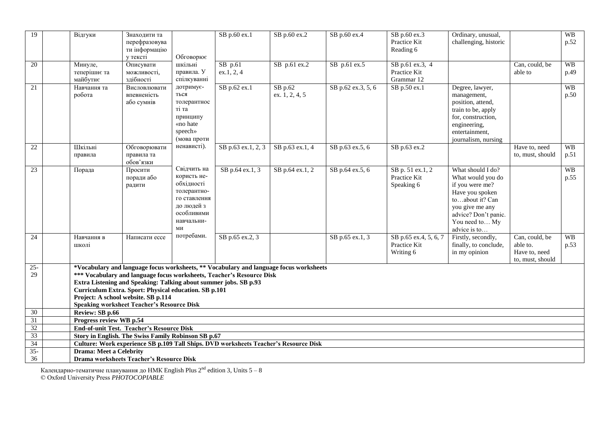| 19              | Відгуки                                                                                                                                                                                                                                                                                                                                                                                  | Знаходити та<br>перефразовува<br>ти інформацію<br>у тексті | Обговорює                                                                                                               | SB p.60 ex.1                                                                         | SB p.60 ex.2              | SB p.60 ex.4       | SB p.60 ex.3<br>Practice Kit<br>Reading 6          | Ordinary, unusual,<br>challenging, historic                                                                                                                                  |                                                                 | <b>WB</b><br>p.52 |  |
|-----------------|------------------------------------------------------------------------------------------------------------------------------------------------------------------------------------------------------------------------------------------------------------------------------------------------------------------------------------------------------------------------------------------|------------------------------------------------------------|-------------------------------------------------------------------------------------------------------------------------|--------------------------------------------------------------------------------------|---------------------------|--------------------|----------------------------------------------------|------------------------------------------------------------------------------------------------------------------------------------------------------------------------------|-----------------------------------------------------------------|-------------------|--|
| 20              | Минуле,<br>теперішнє та<br>майбутнє                                                                                                                                                                                                                                                                                                                                                      | Описувати<br>можливості,<br>здібності                      | шкільні<br>правила. У<br>спілкуванні                                                                                    | $SB$ p.61<br>ex.1, 2, 4                                                              | SB p.61 ex.2              | SB p.61 ex.5       | SB p.61 ex.3, 4<br>Practice Kit<br>Grammar 12      |                                                                                                                                                                              | Can, could, be<br>able to                                       | <b>WB</b><br>p.49 |  |
| 21              | Навчання та<br>робота                                                                                                                                                                                                                                                                                                                                                                    | Висловлювати<br>впевненість<br>або сумнів                  | дотримує-<br>ться<br>толерантнос<br>ті та<br>принципу<br>«no hate<br>speech»<br>(мова проти                             | SB p.62 ex.1                                                                         | SB p.62<br>ex. 1, 2, 4, 5 | SB p.62 ex.3, 5, 6 | SB p.50 ex.1                                       | Degree, lawyer,<br>management,<br>position, attend,<br>train to be, apply<br>for, construction,<br>engineering,<br>entertainment,<br>journalism, nursing                     |                                                                 | <b>WB</b><br>p.50 |  |
| 22              | Шкільні<br>правила                                                                                                                                                                                                                                                                                                                                                                       | Обговорювати<br>правила та<br>обов'язки                    | ненависті).                                                                                                             | SB p.63 ex.1, 2, 3                                                                   | SB p.63 ex.1, 4           | SB p.63 ex.5, 6    | SB p.63 ex.2                                       |                                                                                                                                                                              | Have to, need<br>to, must, should                               | <b>WB</b><br>p.51 |  |
| 23              | Порада                                                                                                                                                                                                                                                                                                                                                                                   | Просити<br>поради або<br>радити                            | Свідчить на<br>користь не-<br>обхідності<br>толерантно-<br>го ставлення<br>до людей з<br>особливими<br>навчальни-<br>МИ | SB p.64 ex.1, 3                                                                      | SB p.64 ex.1, 2           | SB p.64 ex.5, 6    | SB p. 51 ex.1, 2<br>Practice Kit<br>Speaking 6     | What should I do?<br>What would you do<br>if you were me?<br>Have you spoken<br>toabout it? Can<br>you give me any<br>advice? Don't panic.<br>You need to My<br>advice is to |                                                                 | WB<br>p.55        |  |
| 24              | Навчання в<br>школі                                                                                                                                                                                                                                                                                                                                                                      | Написати ессе                                              | потребами.                                                                                                              | SB p.65 ex.2, 3                                                                      |                           | SB p.65 ex.1, 3    | SB p.65 ex.4, 5, 6, 7<br>Practice Kit<br>Writing 6 | Firstly, secondly,<br>finally, to conclude,<br>in my opinion                                                                                                                 | Can, could, be<br>able to.<br>Have to, need<br>to, must, should | WB<br>p.53        |  |
| $25 -$<br>29    | *Vocabulary and language focus worksheets, ** Vocabulary and language focus worksheets<br>*** Vocabulary and language focus worksheets, Teacher's Resource Disk<br>Extra Listening and Speaking: Talking about summer jobs. SB p.93<br>Curriculum Extra. Sport: Physical education. SB p.101<br>Project: A school website. SB p.114<br><b>Speaking worksheet Teacher's Resource Disk</b> |                                                            |                                                                                                                         |                                                                                      |                           |                    |                                                    |                                                                                                                                                                              |                                                                 |                   |  |
| 30              | Review: SB p.66                                                                                                                                                                                                                                                                                                                                                                          |                                                            |                                                                                                                         |                                                                                      |                           |                    |                                                    |                                                                                                                                                                              |                                                                 |                   |  |
| $\overline{31}$ | Progress review WB p.54                                                                                                                                                                                                                                                                                                                                                                  |                                                            |                                                                                                                         |                                                                                      |                           |                    |                                                    |                                                                                                                                                                              |                                                                 |                   |  |
| $\overline{32}$ |                                                                                                                                                                                                                                                                                                                                                                                          | <b>End-of-unit Test. Teacher's Resource Disk</b>           |                                                                                                                         |                                                                                      |                           |                    |                                                    |                                                                                                                                                                              |                                                                 |                   |  |
| 33              |                                                                                                                                                                                                                                                                                                                                                                                          | Story in English. The Swiss Family Robinson SB p.67        |                                                                                                                         |                                                                                      |                           |                    |                                                    |                                                                                                                                                                              |                                                                 |                   |  |
| $\overline{34}$ |                                                                                                                                                                                                                                                                                                                                                                                          |                                                            |                                                                                                                         | Culture: Work experience SB p.109 Tall Ships. DVD worksheets Teacher's Resource Disk |                           |                    |                                                    |                                                                                                                                                                              |                                                                 |                   |  |
| $35 -$          | <b>Drama: Meet a Celebrity</b>                                                                                                                                                                                                                                                                                                                                                           |                                                            |                                                                                                                         |                                                                                      |                           |                    |                                                    |                                                                                                                                                                              |                                                                 |                   |  |
| 36              | Drama worksheets Teacher's Resource Disk                                                                                                                                                                                                                                                                                                                                                 |                                                            |                                                                                                                         |                                                                                      |                           |                    |                                                    |                                                                                                                                                                              |                                                                 |                   |  |

Календарно-тематичне планування до HMK English Plus 2 $^{\rm nd}$  edition 3, Units 5 – 8 © Oxford University Press *PHOTOCOPIABLE*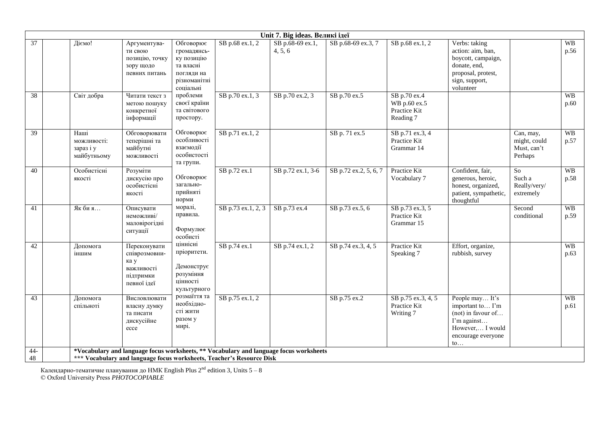|                 | Unit 7. Big ideas. Великі ідеї |                                                 |                                                                                 |                                                                                                |                    |                                                                                        |                       |                                                           |                                                                                                                                             |                                                        |                   |  |  |
|-----------------|--------------------------------|-------------------------------------------------|---------------------------------------------------------------------------------|------------------------------------------------------------------------------------------------|--------------------|----------------------------------------------------------------------------------------|-----------------------|-----------------------------------------------------------|---------------------------------------------------------------------------------------------------------------------------------------------|--------------------------------------------------------|-------------------|--|--|
| 37              |                                | Діємо!                                          | Аргументува-<br>ти свою<br>позицію, точку<br>зору щодо<br>певних питань         | Обговорює<br>громадянсь-<br>ку позицію<br>та власні<br>погляди на<br>різноманітні<br>соціальні | SB p.68 ex.1, 2    | SB p.68-69 ex.1,<br>4, 5, 6                                                            | SB p.68-69 ex.3, 7    | SB p.68 ex.1, 2                                           | Verbs: taking<br>action: aim, ban,<br>boycott, campaign,<br>donate, end,<br>proposal, protest,<br>sign, support,<br>volunteer               |                                                        | <b>WB</b><br>p.56 |  |  |
| 38              |                                | Світ добра                                      | Читати текст з<br>метою пошуку<br>конкретної<br>інформації                      | проблеми<br>своєї країни<br>та світового<br>простору.                                          | SB p.70 ex.1, 3    | SB p.70 ex.2, 3                                                                        | SB p.70 ex.5          | SB p.70 ex.4<br>WB p.60 ex.5<br>Practice Kit<br>Reading 7 |                                                                                                                                             |                                                        | <b>WB</b><br>p.60 |  |  |
| $\overline{39}$ |                                | Наші<br>можливості:<br>зараз і у<br>майбутньому | Обговорювати<br>теперішні та<br>майбутні<br>можливості                          | Обговорює<br>особливості<br>взаємодії<br>особистості<br>та групи.                              | SB p.71 ex.1, 2    |                                                                                        | SB p. 71 ex.5         | SB p.71 ex.3, 4<br>Practice Kit<br>Grammar 14             |                                                                                                                                             | Can, may,<br>might, could<br>Must, can't<br>Perhaps    | <b>WB</b><br>p.57 |  |  |
| 40              |                                | Особистісні<br>якості                           | Розуміти<br>дискусію про<br>особистісні<br>якості                               | Обговорює<br>загально-<br>прийняті<br>норми                                                    | SB p.72 ex.1       | SB p.72 ex.1, 3-6                                                                      | SB p.72 ex.2, 5, 6, 7 | Practice Kit<br>Vocabulary 7                              | Confident, fair,<br>generous, heroic,<br>honest, organized,<br>patient, sympathetic,<br>thoughtful                                          | $\overline{So}$<br>Such a<br>Really/very/<br>extremely | <b>WB</b><br>p.58 |  |  |
| 41              |                                | Як бия                                          | Описувати<br>неможливі/<br>маловірогідні<br>ситуації                            | моралі,<br>правила.<br>Формулює<br>особисті                                                    | SB p.73 ex.1, 2, 3 | SB p.73 ex.4                                                                           | SB p.73 ex.5, 6       | SB p.73 ex.3, 5<br>Practice Kit<br>Grammar 15             |                                                                                                                                             | Second<br>conditional                                  | <b>WB</b><br>p.59 |  |  |
| 42              |                                | Допомога<br>іншим                               | Переконувати<br>співрозмовни-<br>ка у<br>важливості<br>підтримки<br>певної ідеї | ціннісні<br>пріоритети.<br>Демонструє<br>розуміння<br>цінності<br>культурного                  | SB p.74 ex.1       | SB p.74 ex.1, 2                                                                        | SB p.74 ex.3, 4, 5    | Practice Kit<br>Speaking 7                                | Effort, organize,<br>rubbish, survey                                                                                                        |                                                        | <b>WB</b><br>p.63 |  |  |
| 43              |                                | Допомога<br>спільноті                           | Висловлювати<br>власну думку<br>та писати<br>дискусійне<br>ecce                 | розмаїття та<br>необхідно-<br>сті жити<br>разом у<br>мирі.                                     | SB p.75 ex.1, 2    |                                                                                        | SB p.75 ex.2          | SB p.75 ex.3, 4, 5<br>Practice Kit<br>Writing 7           | People may It's<br>important to I'm<br>(not) in favour of<br>I'm against<br>However, I would<br>encourage everyone<br>$\mathfrak{to} \dots$ |                                                        | <b>WB</b><br>p.61 |  |  |
| $44-$<br>48     |                                |                                                 |                                                                                 |                                                                                                |                    | *Vocabulary and language focus worksheets, ** Vocabulary and language focus worksheets |                       |                                                           |                                                                                                                                             |                                                        |                   |  |  |
|                 |                                |                                                 | *** Vocabulary and language focus worksheets, Teacher's Resource Disk           |                                                                                                |                    |                                                                                        |                       |                                                           |                                                                                                                                             |                                                        |                   |  |  |

Календарно-тематичне планування до HMK English Plus 2 $^{\rm nd}$  edition 3, Units 5 – 8 © Oxford University Press *PHOTOCOPIABLE*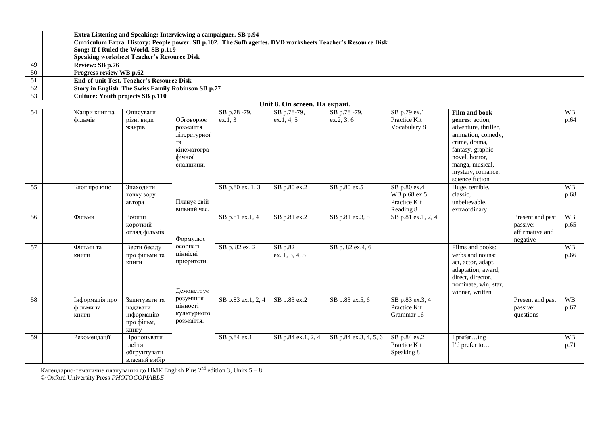|                 |                                                                          | Extra Listening and Speaking: Interviewing a campaigner. SB p.94                                                                                    |               |                    |                    |                    |                       |                    |                                     |                  |           |  |  |
|-----------------|--------------------------------------------------------------------------|-----------------------------------------------------------------------------------------------------------------------------------------------------|---------------|--------------------|--------------------|--------------------|-----------------------|--------------------|-------------------------------------|------------------|-----------|--|--|
|                 |                                                                          | Curriculum Extra. History: People power. SB p.102. The Suffragettes. DVD worksheets Teacher's Resource Disk<br>Song: If I Ruled the World. SB p.119 |               |                    |                    |                    |                       |                    |                                     |                  |           |  |  |
|                 |                                                                          |                                                                                                                                                     |               |                    |                    |                    |                       |                    |                                     |                  |           |  |  |
|                 |                                                                          | <b>Speaking worksheet Teacher's Resource Disk</b>                                                                                                   |               |                    |                    |                    |                       |                    |                                     |                  |           |  |  |
| 49              |                                                                          | Review: SB p.76                                                                                                                                     |               |                    |                    |                    |                       |                    |                                     |                  |           |  |  |
| 50              |                                                                          | Progress review WB p.62                                                                                                                             |               |                    |                    |                    |                       |                    |                                     |                  |           |  |  |
| 51              |                                                                          | <b>End-of-unit Test. Teacher's Resource Disk</b>                                                                                                    |               |                    |                    |                    |                       |                    |                                     |                  |           |  |  |
| 52              |                                                                          | Story in English. The Swiss Family Robinson SB p.77                                                                                                 |               |                    |                    |                    |                       |                    |                                     |                  |           |  |  |
| 53              | <b>Culture: Youth projects SB p.110</b><br>Unit 8. On screen. На екрані. |                                                                                                                                                     |               |                    |                    |                    |                       |                    |                                     |                  |           |  |  |
|                 |                                                                          |                                                                                                                                                     |               |                    |                    |                    |                       |                    |                                     |                  |           |  |  |
| $\overline{54}$ |                                                                          | Жанри книг та                                                                                                                                       | Описувати     |                    | SB p.78-79,        | SB p.78-79,        | SB p.78-79,           | SB p.79 ex.1       | <b>Film and book</b>                |                  | <b>WB</b> |  |  |
|                 |                                                                          | фільмів                                                                                                                                             | різні види    | Обговорює          | ex.1, 3            | ex.1, 4, 5         | ex.2, 3, 6            | Practice Kit       | genres: action,                     |                  | p.64      |  |  |
|                 |                                                                          |                                                                                                                                                     | жанрів        | розмаїття          |                    |                    |                       | Vocabulary 8       | adventure, thriller,                |                  |           |  |  |
|                 |                                                                          |                                                                                                                                                     |               | літературної       |                    |                    |                       |                    | animation, comedy,<br>crime, drama, |                  |           |  |  |
|                 |                                                                          |                                                                                                                                                     |               | та<br>кінематогра- |                    |                    |                       |                    | fantasy, graphic                    |                  |           |  |  |
|                 |                                                                          |                                                                                                                                                     |               | фічної             |                    |                    |                       |                    | novel, horror,                      |                  |           |  |  |
|                 |                                                                          |                                                                                                                                                     |               | спадщини.          |                    |                    |                       |                    | manga, musical,                     |                  |           |  |  |
|                 |                                                                          |                                                                                                                                                     |               |                    |                    |                    |                       |                    | mystery, romance,                   |                  |           |  |  |
|                 |                                                                          |                                                                                                                                                     |               |                    |                    |                    |                       |                    | science fiction                     |                  |           |  |  |
| 55              |                                                                          | Блог про кіно                                                                                                                                       | Знаходити     |                    | SB p.80 ex. 1, 3   | SB p.80 ex.2       | SB p.80 ex.5          | SB p.80 ex.4       | Huge, terrible,                     |                  | <b>WB</b> |  |  |
|                 |                                                                          |                                                                                                                                                     | точку зору    |                    |                    |                    |                       | WB p.68 ex.5       | classic,                            |                  | p.68      |  |  |
|                 |                                                                          |                                                                                                                                                     | автора        | Планує свій        |                    |                    |                       | Practice Kit       | unbelievable,                       |                  |           |  |  |
|                 |                                                                          |                                                                                                                                                     |               | вільний час.       |                    |                    |                       | Reading 8          | extraordinary                       |                  |           |  |  |
| $\overline{56}$ |                                                                          | Фільми                                                                                                                                              | Робити        |                    | SB p.81 ex.1, 4    | SB p.81 ex.2       | SB p.81 ex.3, 5       | SB p.81 ex.1, 2, 4 |                                     | Present and past | <b>WB</b> |  |  |
|                 |                                                                          |                                                                                                                                                     | короткий      |                    |                    |                    |                       |                    |                                     | passive:         | p.65      |  |  |
|                 |                                                                          |                                                                                                                                                     | огляд фільмів |                    |                    |                    |                       |                    |                                     | affirmative and  |           |  |  |
|                 |                                                                          |                                                                                                                                                     |               | Формулює           |                    |                    |                       |                    |                                     | negative         |           |  |  |
| 57              |                                                                          | Фільми та                                                                                                                                           | Вести бесіду  | особисті           | SB p. 82 ex. 2     | $SB$ p.82          | SB p. 82 ex.4, 6      |                    | Films and books:                    |                  | <b>WB</b> |  |  |
|                 |                                                                          | КНИГИ                                                                                                                                               | про фільми та | ціннісні           |                    | ex. 1, 3, 4, 5     |                       |                    | verbs and nouns:                    |                  | p.66      |  |  |
|                 |                                                                          |                                                                                                                                                     | книги         | пріоритети.        |                    |                    |                       |                    | act, actor, adapt,                  |                  |           |  |  |
|                 |                                                                          |                                                                                                                                                     |               |                    |                    |                    |                       |                    | adaptation, award,                  |                  |           |  |  |
|                 |                                                                          |                                                                                                                                                     |               |                    |                    |                    |                       |                    | direct, director,                   |                  |           |  |  |
|                 |                                                                          |                                                                                                                                                     |               | Демонструє         |                    |                    |                       |                    | nominate, win, star,                |                  |           |  |  |
| 58              |                                                                          | Інформація про                                                                                                                                      | Запитувати та | розуміння          | SB p.83 ex.1, 2, 4 | SB p.83 ex.2       | SB p.83 ex.5, 6       | SB p.83 ex.3, 4    | winner, written                     | Present and past | <b>WB</b> |  |  |
|                 |                                                                          | фільми та                                                                                                                                           | надавати      | цінності           |                    |                    |                       | Practice Kit       |                                     | passive:         | p.67      |  |  |
|                 |                                                                          | КНИГИ                                                                                                                                               | інформацію    | культурного        |                    |                    |                       | Grammar 16         |                                     | questions        |           |  |  |
|                 |                                                                          |                                                                                                                                                     | про фільм,    | розмаїття.         |                    |                    |                       |                    |                                     |                  |           |  |  |
|                 |                                                                          |                                                                                                                                                     | книгу         |                    |                    |                    |                       |                    |                                     |                  |           |  |  |
| 59              |                                                                          | Рекомендації                                                                                                                                        | Пропонувати   |                    | SB p.84 ex.1       | SB p.84 ex.1, 2, 4 | SB p.84 ex.3, 4, 5, 6 | SB p.84 ex.2       | I prefering                         |                  | <b>WB</b> |  |  |
|                 |                                                                          |                                                                                                                                                     | ідеї та       |                    |                    |                    |                       | Practice Kit       | I'd prefer to                       |                  | p.71      |  |  |
|                 |                                                                          |                                                                                                                                                     | обгрунтувати  |                    |                    |                    |                       | Speaking 8         |                                     |                  |           |  |  |
|                 |                                                                          |                                                                                                                                                     | власний вибір |                    |                    |                    |                       |                    |                                     |                  |           |  |  |

Календарно-тематичне планування до HMK English Plus 2 $^{\rm nd}$  edition 3, Units 5 – 8

© Oxford University Press *PHOTOCOPIABLE*